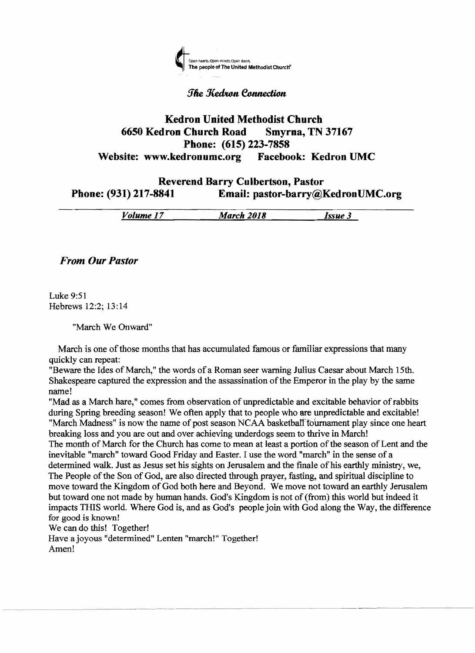

# **The Kedran Connection**

# Kedron **United Methodist Church 6650 Kedron Church Road Smyrna, TN 37167 Phone: (615) 223·7858 Website: www.kedronumc.org Facebook: Kedron UMC**

# **Reverend Barry Culbertson, Pastor<br>Email: pastor-barry**@] Phone: (931) 217-8841 Email: pastor-barry **Phone: (931) 217·8841 Email: pastor·barry@KedronUMC.org**

|        |                       | -----               |             |
|--------|-----------------------|---------------------|-------------|
| /olume | <b>March 2018</b><br> | ------------------- | <b>SSUP</b> |

*From Our Pastor* 

Luke 9:51 Hebrews 12:2; 13:14

"March We Onward"

March is one of those months that has accumulated famous or familiar expressions that many quickly can repeat:

"Beware the Ides of March," the words of a Roman seer warning Julius Caesar about March 15th. Shakespeare captured the expression and the assassination ofthe Emperor in the play by the same name!

"Mad as a March hare," comes from observation of unpredictable and excitable behavior of rabbits during Spring breeding season! We often apply that to people who are unpredictable and excitable! "March Madness" is now the name of post season NCAA basketball tournament play since one heart breaking loss and you are out and over achieving underdogs seem to thrive in March! The month of March for the Church has come to mean at least a portion of the season of Lent and the inevitable "march" toward Good Friday and Easter. I use the word "march" in the sense of a determined walk. Just as Jesus set his sights on Jerusalem and the finale of his earthly ministry, we, The People of the Son of God, are also directed through prayer, fasting, and spiritual discipline to move toward the Kingdom of God both here and Beyond. We move not toward an earthly Jerusalem but toward one not made by human hands. God's Kingdom is not of (from) this world but indeed it impacts THIS world. Where God is, and as God's people join with God along the Way, the difference for good is known!

We can do this! Together!

Have a joyous "determined" Lenten "march!" Together! Amen!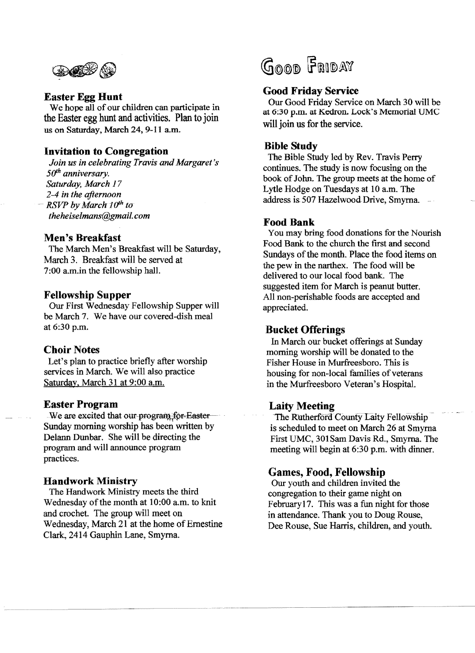

#### **Easter Egg Hunt**

We hope all of our children can participate in the Easter egg hunt and activities. Plan to join us on Saturday, March 24, 9-11 a.m.

### **Invitation to Congregation**

*Join us in celebrating Travis and Margaret's*  50<sup>th</sup> anniversary. *Saturday, March 17 2-4 in the afternoon RSVP* by March  $10^{th}$  to *theheiselmans@gmail.com* 

#### **Men's Breakfast**

The March Men's Breakfast will be Saturday, March 3. Breakfast will be served at 7:00 a.m.in the fellowship hall.

#### **Fellowship Supper**

Our First Wednesday Fellowship Supper will be March 7. We have our covered-dish meal at 6:30 p.m.

#### **Choir Notes**

Let's plan to practice briefly after worship services in March. We will also practice Saturday, March 31 at 9:00 a.m.

#### **Easter Program**

We are excited that our-program for-Easter Sunday morning worship has been written by Delann Dunbar. She will be directing the program and will announce program practices.

#### **Handwork Ministry**

The Handwork Ministry meets the third Wednesday of the month at 10:00 a.m. to knit and crochet. The group will meet on Wednesday, March 21 at the home of Ernestine Clark, 2414 Gauphin Lane, Smyrna.



## **Good Friday Service**

Our Good Friday Service on March 30 will be at 6;30 p.m. at Kedron. Lock's Memorial UMC will join us for the service.

### **Bible Study**

The Bible Study led by Rev. Travis Perry continues. The study is now focusing on the book of John. The group meets at the home of Lytle Hodge on Tuesdays at 10 a.m. The address is 507 Hazelwood Drive, Smyrna.

#### Food Bank

You may bring food donations for the Nourish Food Bank to the church the first and second Sundays of the month. Place the food items on the pew in the narthex. The food will be delivered to our local food bank. The suggested item for March is peanut butter. All non-perishable foods are accepted and appreciated.

#### **Bucket Offerings**

In March our bucket offerings at Sunday morning worship will be donated to the Fisher House in Murfreesboro. This is housing for non-local families of veterans in the Murfreesboro Veteran's Hospital.

## **Laity Meeting**

The Rutherford County Laity Fellowship is scheduled to meet on March 26 at Smyrna First UMC, 301Sam Davis Rd., Smyrna. The meeting will begin at 6:30 p.m. with dinner.

## **Games, Food, Fellowship**

Our youth and children invited the congregation to their game night on February 17. This was a fun night for those in attendance. Thank you to Doug Rouse, Dee Rouse, Sue Harris, children, and youth.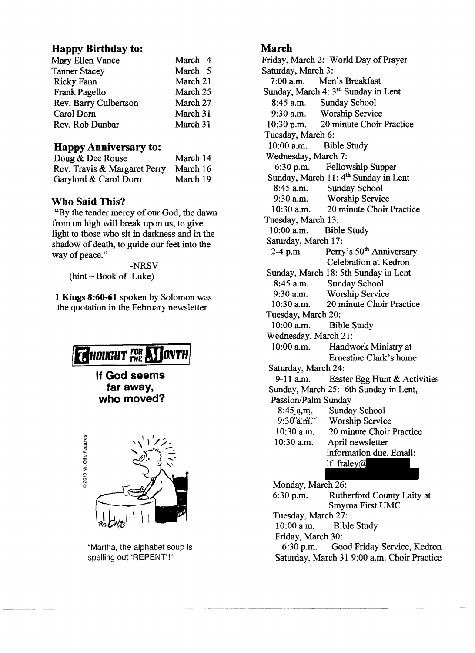# Happy Birthday to: March

| Mary Ellen Vance      | March 4  |                    | Friday, March 2: World Day of Praye |
|-----------------------|----------|--------------------|-------------------------------------|
| <b>Tanner Stacey</b>  | March 5  | Saturday, March 3: |                                     |
| Ricky Fann            | March 21 |                    | 7:00 a.m. Men's Breakfast           |
| Frank Pagello         | March 25 |                    | Sunday, March 4: 3rd Sunday in Lent |
| Rev. Barry Culbertson | March 27 | $8:45$ a.m.        | <b>Sunday School</b>                |
| Carol Dorn            | March 31 | $9:30$ a.m.        | <b>Worship Service</b>              |
| Rev. Rob Dunbar       | March 31 | $10:30$ p.m.       | 20 minute Choir Practi              |
|                       |          |                    |                                     |

| Doug & Dee Rouse             | March 14 |
|------------------------------|----------|
| Rev. Travis & Margaret Perry | March 16 |
| Garylord & Carol Dorn        | March 19 |

"By the tender mercy of our God, the dawn  $10:30$  a.m.  $201$ <br>from on high will break upon us, to give Tuesday, March 13: Them on high will break upon us, to give 10:00 a.m. Bible Study light to those who sit in darkness and in the 10:00 a.m. Bible Study shedow of death to quide our feet into the Saturday, March 17: shadow of death, to guide our feet into the<br>way of peace." 2-4 p.m. Perry's  $50^{th}$  Anniversary

the quotation in the February newsletter.





"Martha, the alphabet soup is spelling out 'REPENT'!"

Friday, March 2: World Day of Prayer Saturday, March 3:<br>7:00 a.m. Mer Men's Breakfast 8:45 a.m. Sunday School<br>9:30 a.m. Worship Servic Worship Service 10:30 p.m. 20 minute Choir Practice Tuesday, March 6: Happy Anniversary to: 10:00 a.m. Bible Study Wednesday, March 7:<br>6:30 p.m. Fellov Fellowship Supper Sunday, March 11:  $4<sup>th</sup>$  Sunday in Lent 8:45 a.m. Sunday School 8:45 a.m. Sunday School<br>9:30 a.m. Worship Service Who Said This?<br>
Who Said This?<br>
Worship Service 30 a.m. 20 minute Choir Practice way of peace."<br>
NRSV Celebration at Kedron -NRSV Celebration at Kedron -(hint - Book of Luke)<br>
8:45 a.m. Sunday School<br>
8:45 a.m. Sunday School 1 Kings 8:60-61 spoken by Solomon was 9:30 a.m. Worship Service<br>the quotation in the February noveletter 10:30 a.m. 20 minute Choir Practice Tuesday, March 20: 10:00 a.m. Bible Study Wednesday, March 21: **10:00 a.m.** Handwork Ministry at *Ernestine Clark's home* Saturday, March 24: **If God seems**  $\begin{array}{r} \text{Sanday, March 24:} \\ \text{9-11 a.m.} \end{array}$  Easter Egg Hunt & Activities **far away, far away,** Sunday, March 25: 6th Sunday in Lent,<br> **who moved?** Passion/Palm Sunday Passion/Palm Sunday<br>8:45 a.m. Sunda 8:45..~~tn... Sunday School Worship Service 10:30 a.m. 20 minute Choir Practice 10:30 a.m. April newsletter information due. Email:<br>
If fraley@ Monday, March 26: 6:30 p.m. Rutherford County Laity at Smyrna First UMC Tuesday, March 27: 10:00 a.m. Bible Study

Friday, March 30:

6:30 p.m. Good Friday Service, Kedron Saturday, March 31 9:00 a.m. Choir Practice